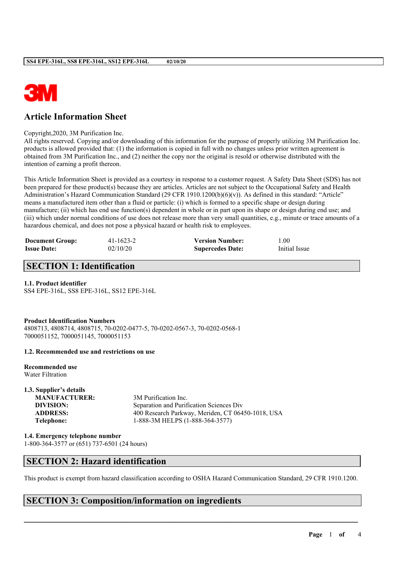

# **Article Information Sheet**

Copyright,2020, 3M Purification Inc.

All rights reserved. Copying and/or downloading of this information for the purpose of properly utilizing 3M Purification Inc. products is allowed provided that: (1) the information is copied in full with no changes unless prior written agreement is obtained from 3M Purification Inc., and (2) neither the copy nor the original is resold or otherwise distributed with the intention of earning a profit thereon.

This Article Information Sheet is provided as a courtesy in response to a customer request. A Safety Data Sheet (SDS) has not been prepared for these product(s) because they are articles. Articles are not subject to the Occupational Safety and Health Administration's Hazard Communication Standard (29 CFR 1910.1200(b)(6)(v)). As defined in this standard: "Article" means a manufactured item other than a fluid or particle: (i) which is formed to a specific shape or design during manufacture; (ii) which has end use function(s) dependent in whole or in part upon its shape or design during end use; and (iii) which under normal conditions of use does not release more than very small quantities, e.g., minute or trace amounts of a hazardous chemical, and does not pose a physical hazard or health risk to employees.

| <b>Document Group:</b> | 41-1623-2 | <b>Version Number:</b>  | 1.00          |
|------------------------|-----------|-------------------------|---------------|
| <b>Issue Date:</b>     | 02/10/20  | <b>Supercedes Date:</b> | Initial Issue |

### **SECTION 1: Identification**

### **1.1. Product identifier**

SS4 EPE-316L, SS8 EPE-316L, SS12 EPE-316L

**Product Identification Numbers** 4808713, 4808714, 4808715, 70-0202-0477-5, 70-0202-0567-3, 70-0202-0568-1 7000051152, 7000051145, 7000051153

### **1.2. Recommended use and restrictions on use**

**Recommended use** Water Filtration

# **1.3. Supplier's details**

**MANUFACTURER:** 3M Purification Inc. **DIVISION:** Separation and Purification Sciences Div **ADDRESS:** 400 Research Parkway, Meriden, CT 06450-1018, USA **Telephone:** 1-888-3M HELPS (1-888-364-3577)

**1.4. Emergency telephone number** 1-800-364-3577 or (651) 737-6501 (24 hours)

### **SECTION 2: Hazard identification**

This product is exempt from hazard classification according to OSHA Hazard Communication Standard, 29 CFR 1910.1200.

 $\mathcal{L}_\mathcal{L} = \mathcal{L}_\mathcal{L} = \mathcal{L}_\mathcal{L} = \mathcal{L}_\mathcal{L} = \mathcal{L}_\mathcal{L} = \mathcal{L}_\mathcal{L} = \mathcal{L}_\mathcal{L} = \mathcal{L}_\mathcal{L} = \mathcal{L}_\mathcal{L} = \mathcal{L}_\mathcal{L} = \mathcal{L}_\mathcal{L} = \mathcal{L}_\mathcal{L} = \mathcal{L}_\mathcal{L} = \mathcal{L}_\mathcal{L} = \mathcal{L}_\mathcal{L} = \mathcal{L}_\mathcal{L} = \mathcal{L}_\mathcal{L}$ 

# **SECTION 3: Composition/information on ingredients**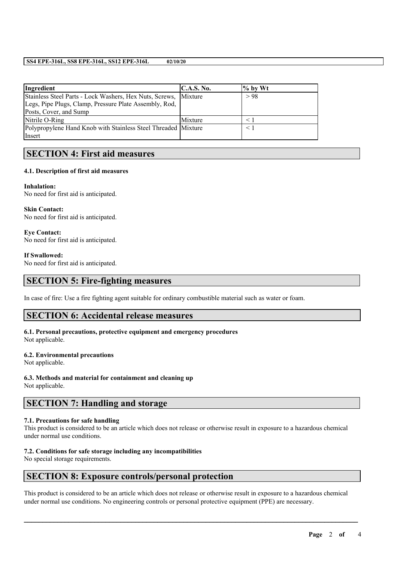### **SS4 EPE-316L, SS8 EPE-316L, SS12 EPE-316L 02/10/20**

| Ingredient                                                      | <b>C.A.S. No.</b> | $\%$ by Wt |
|-----------------------------------------------------------------|-------------------|------------|
| Stainless Steel Parts - Lock Washers, Hex Nuts, Screws, Mixture |                   | > 98       |
| Legs, Pipe Plugs, Clamp, Pressure Plate Assembly, Rod,          |                   |            |
| Posts, Cover, and Sump                                          |                   |            |
| Nitrile O-Ring                                                  | Mixture           |            |
| Polypropylene Hand Knob with Stainless Steel Threaded Mixture   |                   |            |
| Insert                                                          |                   |            |

### **SECTION 4: First aid measures**

### **4.1. Description of first aid measures**

### **Inhalation:**

No need for first aid is anticipated.

**Skin Contact:** No need for first aid is anticipated.

**Eye Contact:** No need for first aid is anticipated.

**If Swallowed:**

No need for first aid is anticipated.

### **SECTION 5: Fire-fighting measures**

In case of fire: Use a fire fighting agent suitable for ordinary combustible material such as water or foam.

### **SECTION 6: Accidental release measures**

#### **6.1. Personal precautions, protective equipment and emergency procedures** Not applicable.

# **6.2. Environmental precautions**

Not applicable.

**6.3. Methods and material for containment and cleaning up**

Not applicable.

### **SECTION 7: Handling and storage**

### **7.1. Precautions for safe handling**

This product is considered to be an article which does not release or otherwise result in exposure to a hazardous chemical under normal use conditions.

### **7.2. Conditions for safe storage including any incompatibilities**

No special storage requirements.

### **SECTION 8: Exposure controls/personal protection**

This product is considered to be an article which does not release or otherwise result in exposure to a hazardous chemical under normal use conditions. No engineering controls or personal protective equipment (PPE) are necessary.

 $\mathcal{L}_\mathcal{L} = \mathcal{L}_\mathcal{L} = \mathcal{L}_\mathcal{L} = \mathcal{L}_\mathcal{L} = \mathcal{L}_\mathcal{L} = \mathcal{L}_\mathcal{L} = \mathcal{L}_\mathcal{L} = \mathcal{L}_\mathcal{L} = \mathcal{L}_\mathcal{L} = \mathcal{L}_\mathcal{L} = \mathcal{L}_\mathcal{L} = \mathcal{L}_\mathcal{L} = \mathcal{L}_\mathcal{L} = \mathcal{L}_\mathcal{L} = \mathcal{L}_\mathcal{L} = \mathcal{L}_\mathcal{L} = \mathcal{L}_\mathcal{L}$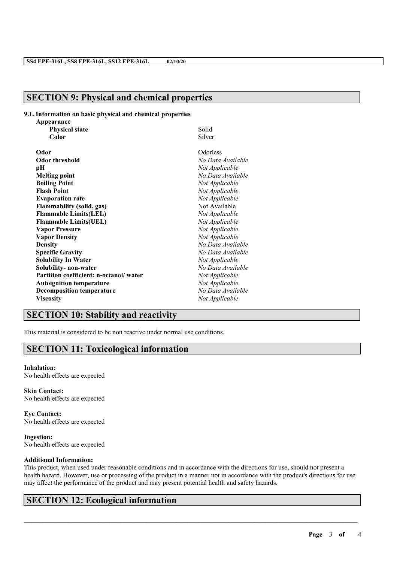## **SECTION 9: Physical and chemical properties**

### **9.1. Information on basic physical and chemical properties**

| Appearance                             |                   |  |
|----------------------------------------|-------------------|--|
| <b>Physical state</b>                  | Solid             |  |
| Color                                  | Silver            |  |
| Odor                                   | Odorless          |  |
| <b>Odor threshold</b>                  | No Data Available |  |
| pН                                     | Not Applicable    |  |
| <b>Melting point</b>                   | No Data Available |  |
| <b>Boiling Point</b>                   | Not Applicable    |  |
| <b>Flash Point</b>                     | Not Applicable    |  |
| <b>Evaporation rate</b>                | Not Applicable    |  |
| <b>Flammability (solid, gas)</b>       | Not Available     |  |
| <b>Flammable Limits(LEL)</b>           | Not Applicable    |  |
| <b>Flammable Limits(UEL)</b>           | Not Applicable    |  |
| <b>Vapor Pressure</b>                  | Not Applicable    |  |
| <b>Vapor Density</b>                   | Not Applicable    |  |
| <b>Density</b>                         | No Data Available |  |
| <b>Specific Gravity</b>                | No Data Available |  |
| <b>Solubility In Water</b>             | Not Applicable    |  |
| Solubility- non-water                  | No Data Available |  |
| Partition coefficient: n-octanol/water | Not Applicable    |  |
| <b>Autoignition temperature</b>        | Not Applicable    |  |
| <b>Decomposition temperature</b>       | No Data Available |  |
| <b>Viscosity</b>                       | Not Applicable    |  |

## **SECTION 10: Stability and reactivity**

This material is considered to be non reactive under normal use conditions.

# **SECTION 11: Toxicological information**

#### **Inhalation:**

No health effects are expected

**Skin Contact:** No health effects are expected

**Eye Contact:** No health effects are expected

**Ingestion:** No health effects are expected

### **Additional Information:**

This product, when used under reasonable conditions and in accordance with the directions for use, should not present a health hazard. However, use or processing of the product in a manner not in accordance with the product's directions for use may affect the performance of the product and may present potential health and safety hazards.

 $\mathcal{L}_\mathcal{L} = \mathcal{L}_\mathcal{L} = \mathcal{L}_\mathcal{L} = \mathcal{L}_\mathcal{L} = \mathcal{L}_\mathcal{L} = \mathcal{L}_\mathcal{L} = \mathcal{L}_\mathcal{L} = \mathcal{L}_\mathcal{L} = \mathcal{L}_\mathcal{L} = \mathcal{L}_\mathcal{L} = \mathcal{L}_\mathcal{L} = \mathcal{L}_\mathcal{L} = \mathcal{L}_\mathcal{L} = \mathcal{L}_\mathcal{L} = \mathcal{L}_\mathcal{L} = \mathcal{L}_\mathcal{L} = \mathcal{L}_\mathcal{L}$ 

# **SECTION 12: Ecological information**